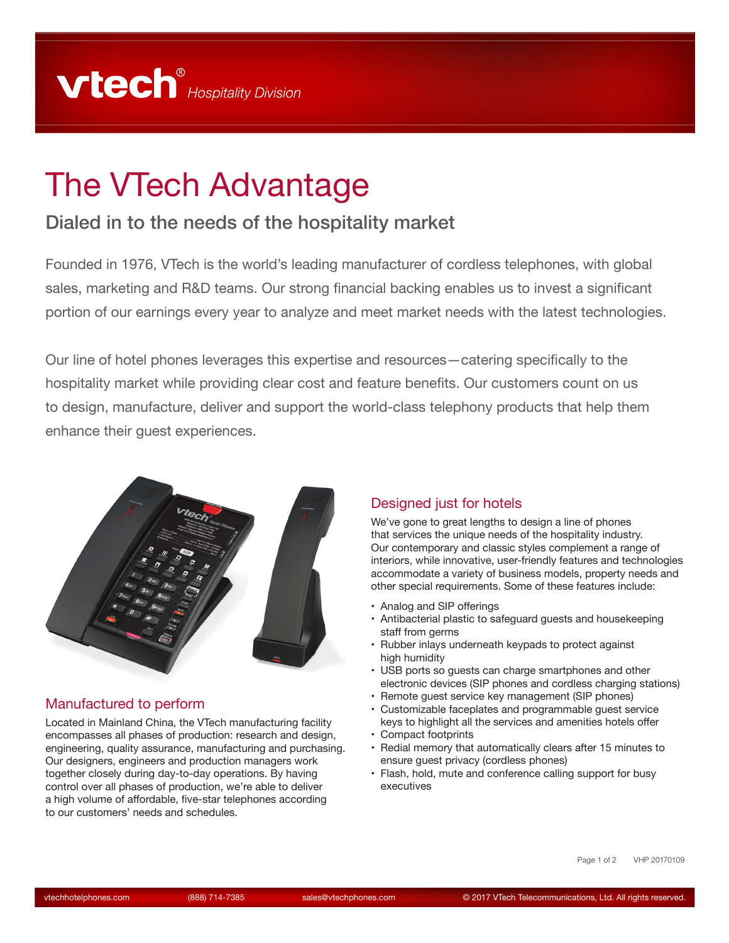# The VTech Advantage

# Dialed in to the needs of the hospitality market

Founded in 1976, VTech is the world's leading manufacturer of cordless telephones, with global sales, marketing and R&D teams. Our strong financial backing enables us to invest a significant portion of our earnings every year to analyze and meet market needs with the latest technologies.

Our line of hotel phones leverages this expertise and resources—catering specifically to the hospitality market while providing clear cost and feature benefits. Our customers count on us to design, manufacture, deliver and support the world-class telephony products that help them enhance their guest experiences.



# Manufactured to perform

Located in Mainland China, the VTech manufacturing facility encompasses all phases of production: research and design, engineering, quality assurance, manufacturing and purchasing. Our designers, engineers and production managers work together closely during day-to-day operations. By having control over all phases of production, we're able to deliver a high volume of affordable, five-star telephones according to our customers' needs and schedules.

#### Designed just for hotels

We've gone to great lengths to design a line of phones that services the unique needs of the hospitality industry. Our contemporary and classic styles complement a range of interiors, while innovative, user-friendly features and technologies accommodate a variety of business models, property needs and other special requirements. Some of these features include:

- Analog and SIP offerings
- Antibacterial plastic to safeguard guests and housekeeping staff from germs
- Rubber inlays underneath keypads to protect against high humidity
- USB ports so guests can charge smartphones and other electronic devices (SIP phones and cordless charging stations)
- Remote guest service key management (SIP phones)
- Customizable faceplates and programmable guest service keys to highlight all the services and amenities hotels offer
- Compact footprints
- Redial memory that automatically clears after 15 minutes to ensure guest privacy (cordless phones)
- Flash, hold, mute and conference calling support for busy executives